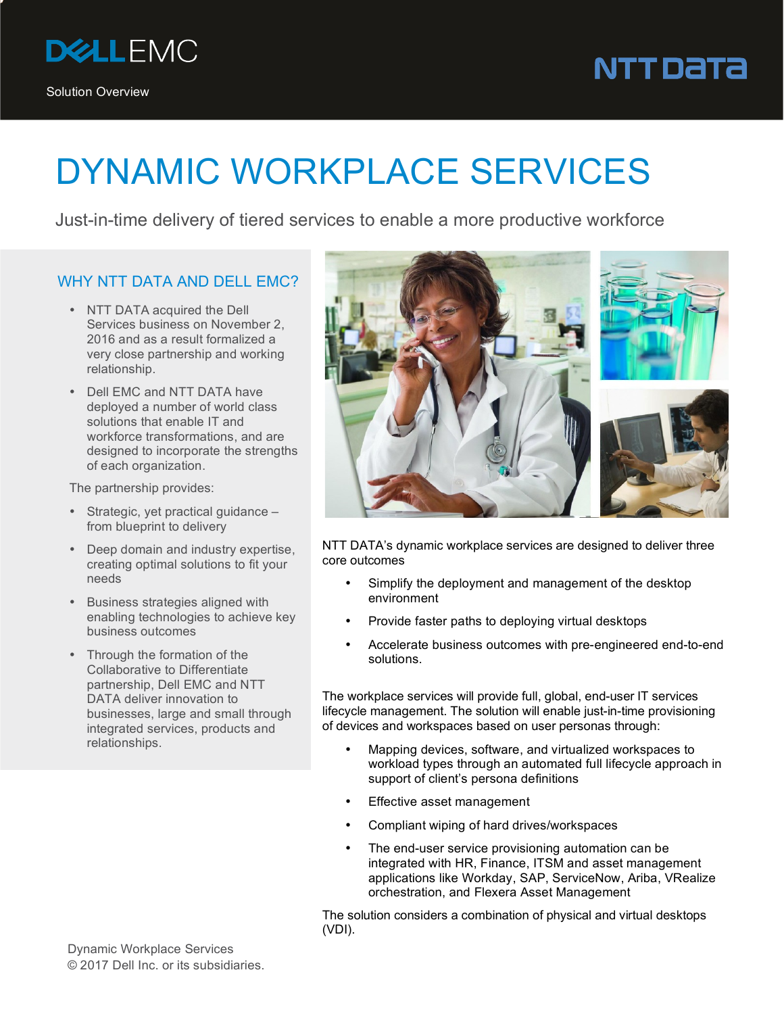

## NTT DaTa

## DYNAMIC WORKPLACE SERVICES

Just-in-time delivery of tiered services to enable a more productive workforce

## WHY NTT DATA AND DELL EMC?

- NTT DATA acquired the Dell Services business on November 2, 2016 and as a result formalized a very close partnership and working relationship.
- Dell EMC and NTT DATA have deployed a number of world class solutions that enable IT and workforce transformations, and are designed to incorporate the strengths of each organization.

The partnership provides:

- Strategic, yet practical guidance from blueprint to delivery
- Deep domain and industry expertise, creating optimal solutions to fit your needs
- Business strategies aligned with enabling technologies to achieve key business outcomes
- Through the formation of the Collaborative to Differentiate partnership, Dell EMC and NTT DATA deliver innovation to businesses, large and small through integrated services, products and relationships.



NTT DATA's dynamic workplace services are designed to deliver three core outcomes

- Simplify the deployment and management of the desktop environment
- Provide faster paths to deploying virtual desktops
- Accelerate business outcomes with pre-engineered end-to-end solutions.

The workplace services will provide full, global, end-user IT services lifecycle management. The solution will enable just-in-time provisioning of devices and workspaces based on user personas through:

- Mapping devices, software, and virtualized workspaces to workload types through an automated full lifecycle approach in support of client's persona definitions
- **Effective asset management**
- Compliant wiping of hard drives/workspaces
- The end-user service provisioning automation can be integrated with HR, Finance, ITSM and asset management applications like Workday, SAP, ServiceNow, Ariba, VRealize orchestration, and Flexera Asset Management

The solution considers a combination of physical and virtual desktops (VDI).